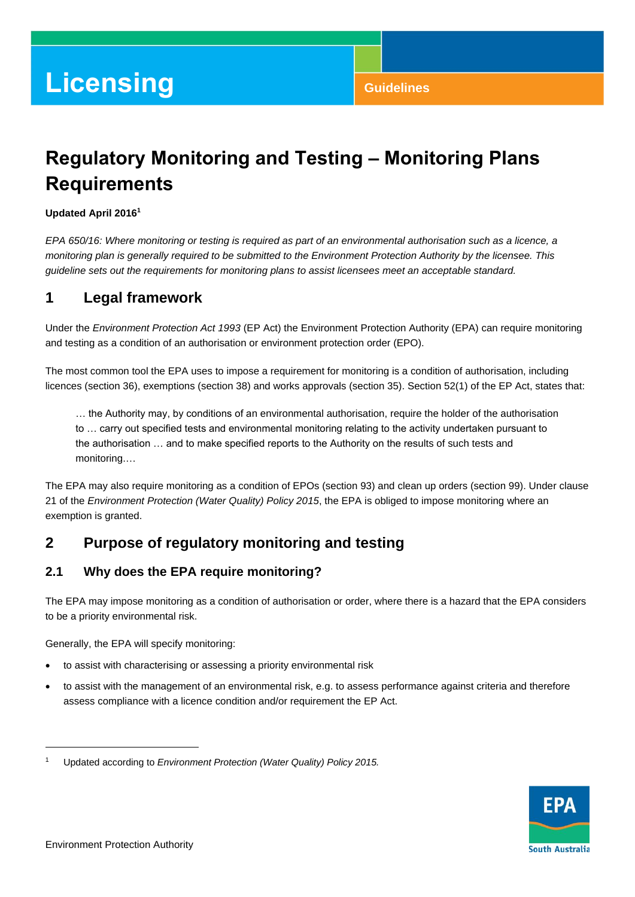# **Licensing Guidelines**

## **Regulatory Monitoring and Testing – Monitoring Plans Requirements**

#### **Updated April 2016 1**

*EPA 650/16: Where monitoring or testing is required as part of an environmental authorisation such as a licence, a monitoring plan is generally required to be submitted to the Environment Protection Authority by the licensee. This guideline sets out the requirements for monitoring plans to assist licensees meet an acceptable standard.*

## **1 Legal framework**

Under the *Environment Protection Act 1993* (EP Act) the Environment Protection Authority (EPA) can require monitoring and testing as a condition of an authorisation or environment protection order (EPO).

The most common tool the EPA uses to impose a requirement for monitoring is a condition of authorisation, including licences (section 36), exemptions (section 38) and works approvals (section 35). Section 52(1) of the EP Act, states that:

… the Authority may, by conditions of an environmental authorisation, require the holder of the authorisation to … carry out specified tests and environmental monitoring relating to the activity undertaken pursuant to the authorisation … and to make specified reports to the Authority on the results of such tests and monitoring.…

The EPA may also require monitoring as a condition of EPOs (section 93) and clean up orders (section 99). Under clause 21 of the *Environment Protection (Water Quality) Policy 2015*, the EPA is obliged to impose monitoring where an exemption is granted.

## **2 Purpose of regulatory monitoring and testing**

#### **2.1 Why does the EPA require monitoring?**

The EPA may impose monitoring as a condition of authorisation or order, where there is a hazard that the EPA considers to be a priority environmental risk.

Generally, the EPA will specify monitoring:

- to assist with characterising or assessing a priority environmental risk
- to assist with the management of an environmental risk, e.g. to assess performance against criteria and therefore assess compliance with a licence condition and/or requirement the EP Act.



 $\overline{a}$ 

<sup>1</sup> Updated according to *Environment Protection (Water Quality) Policy 2015.*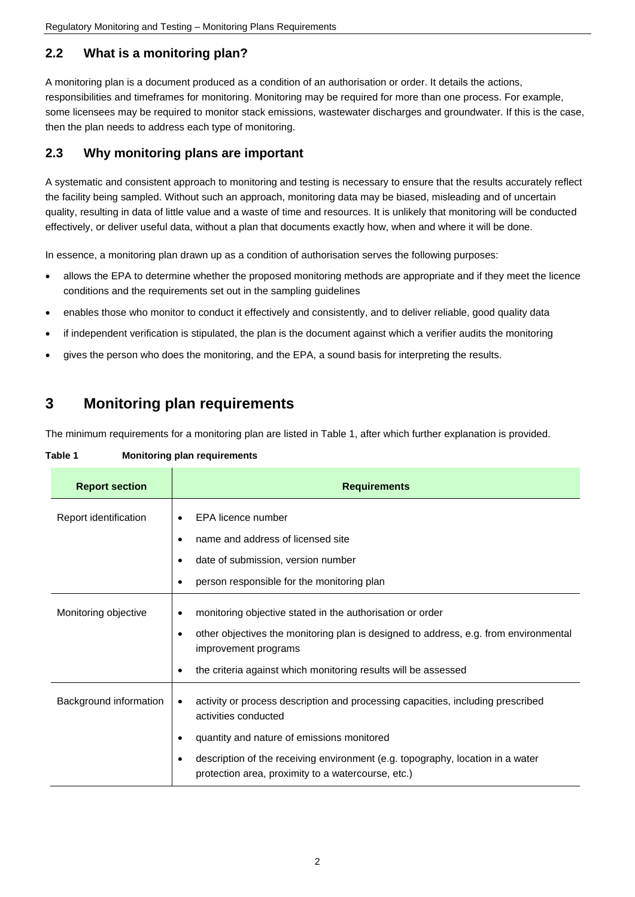## **2.2 What is a monitoring plan?**

A monitoring plan is a document produced as a condition of an authorisation or order. It details the actions, responsibilities and timeframes for monitoring. Monitoring may be required for more than one process. For example, some licensees may be required to monitor stack emissions, wastewater discharges and groundwater. If this is the case, then the plan needs to address each type of monitoring.

## **2.3 Why monitoring plans are important**

A systematic and consistent approach to monitoring and testing is necessary to ensure that the results accurately reflect the facility being sampled. Without such an approach, monitoring data may be biased, misleading and of uncertain quality, resulting in data of little value and a waste of time and resources. It is unlikely that monitoring will be conducted effectively, or deliver useful data, without a plan that documents exactly how, when and where it will be done.

In essence, a monitoring plan drawn up as a condition of authorisation serves the following purposes:

- allows the EPA to determine whether the proposed monitoring methods are appropriate and if they meet the licence conditions and the requirements set out in the sampling guidelines
- enables those who monitor to conduct it effectively and consistently, and to deliver reliable, good quality data
- if independent verification is stipulated, the plan is the document against which a verifier audits the monitoring
- gives the person who does the monitoring, and the EPA, a sound basis for interpreting the results.

## **3 Monitoring plan requirements**

The minimum requirements for a monitoring plan are listed in Table 1, after which further explanation is provided.

**Table 1 Monitoring plan requirements**

| <b>Report section</b>  | <b>Requirements</b>                                                                                                                       |
|------------------------|-------------------------------------------------------------------------------------------------------------------------------------------|
| Report identification  | EPA licence number                                                                                                                        |
|                        | name and address of licensed site<br>٠                                                                                                    |
|                        | date of submission, version number<br>٠                                                                                                   |
|                        | person responsible for the monitoring plan<br>٠                                                                                           |
| Monitoring objective   | monitoring objective stated in the authorisation or order<br>٠                                                                            |
|                        | other objectives the monitoring plan is designed to address, e.g. from environmental<br>improvement programs                              |
|                        | the criteria against which monitoring results will be assessed<br>٠                                                                       |
| Background information | activity or process description and processing capacities, including prescribed<br>٠<br>activities conducted                              |
|                        | quantity and nature of emissions monitored<br>٠                                                                                           |
|                        | description of the receiving environment (e.g. topography, location in a water<br>٠<br>protection area, proximity to a watercourse, etc.) |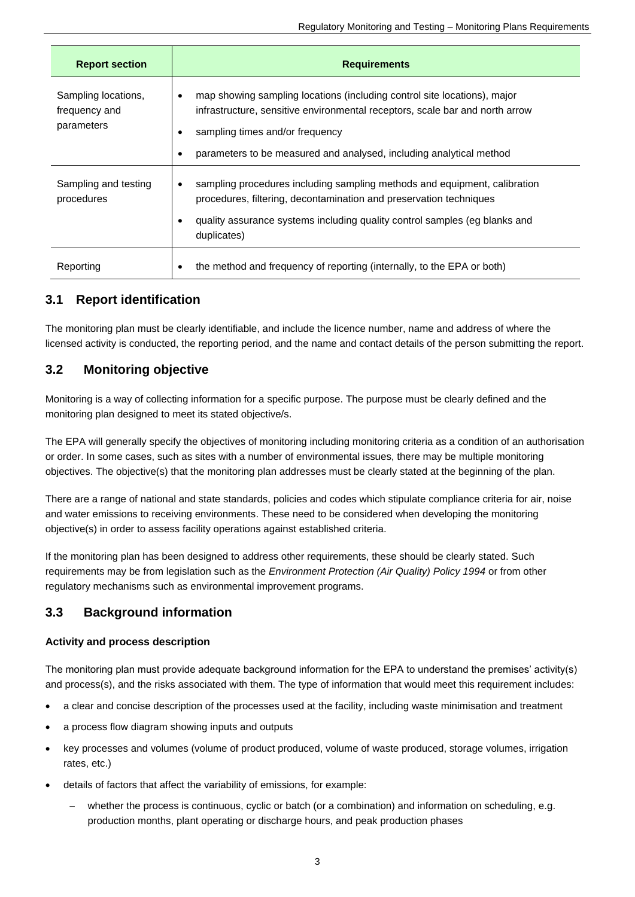| <b>Report section</b>                              | <b>Requirements</b>                                                                                                                                                                                                                                                                               |
|----------------------------------------------------|---------------------------------------------------------------------------------------------------------------------------------------------------------------------------------------------------------------------------------------------------------------------------------------------------|
| Sampling locations,<br>frequency and<br>parameters | map showing sampling locations (including control site locations), major<br>$\bullet$<br>infrastructure, sensitive environmental receptors, scale bar and north arrow<br>sampling times and/or frequency<br>٠<br>parameters to be measured and analysed, including analytical method<br>$\bullet$ |
| Sampling and testing<br>procedures                 | sampling procedures including sampling methods and equipment, calibration<br>$\bullet$<br>procedures, filtering, decontamination and preservation techniques<br>quality assurance systems including quality control samples (eg blanks and<br>duplicates)                                         |
| Reporting                                          | the method and frequency of reporting (internally, to the EPA or both)                                                                                                                                                                                                                            |

#### **3.1 Report identification**

The monitoring plan must be clearly identifiable, and include the licence number, name and address of where the licensed activity is conducted, the reporting period, and the name and contact details of the person submitting the report.

#### **3.2 Monitoring objective**

Monitoring is a way of collecting information for a specific purpose. The purpose must be clearly defined and the monitoring plan designed to meet its stated objective/s.

The EPA will generally specify the objectives of monitoring including monitoring criteria as a condition of an authorisation or order. In some cases, such as sites with a number of environmental issues, there may be multiple monitoring objectives. The objective(s) that the monitoring plan addresses must be clearly stated at the beginning of the plan.

There are a range of national and state standards, policies and codes which stipulate compliance criteria for air, noise and water emissions to receiving environments. These need to be considered when developing the monitoring objective(s) in order to assess facility operations against established criteria.

If the monitoring plan has been designed to address other requirements, these should be clearly stated. Such requirements may be from legislation such as the *Environment Protection (Air Quality) Policy 1994* or from other regulatory mechanisms such as environmental improvement programs.

#### **3.3 Background information**

#### **Activity and process description**

The monitoring plan must provide adequate background information for the EPA to understand the premises' activity(s) and process(s), and the risks associated with them. The type of information that would meet this requirement includes:

- a clear and concise description of the processes used at the facility, including waste minimisation and treatment
- a process flow diagram showing inputs and outputs
- key processes and volumes (volume of product produced, volume of waste produced, storage volumes, irrigation rates, etc.)
- details of factors that affect the variability of emissions, for example:
	- whether the process is continuous, cyclic or batch (or a combination) and information on scheduling, e.g. production months, plant operating or discharge hours, and peak production phases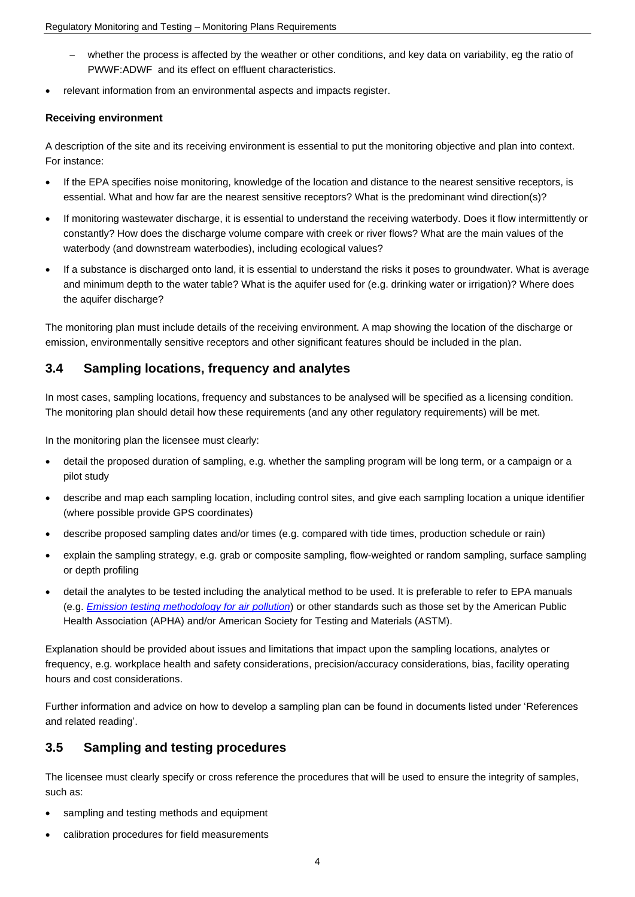- whether the process is affected by the weather or other conditions, and key data on variability, eg the ratio of PWWF:ADWF and its effect on effluent characteristics.
- relevant information from an environmental aspects and impacts register.

#### **Receiving environment**

A description of the site and its receiving environment is essential to put the monitoring objective and plan into context. For instance:

- If the EPA specifies noise monitoring, knowledge of the location and distance to the nearest sensitive receptors, is essential. What and how far are the nearest sensitive receptors? What is the predominant wind direction(s)?
- If monitoring wastewater discharge, it is essential to understand the receiving waterbody. Does it flow intermittently or constantly? How does the discharge volume compare with creek or river flows? What are the main values of the waterbody (and downstream waterbodies), including ecological values?
- If a substance is discharged onto land, it is essential to understand the risks it poses to groundwater. What is average and minimum depth to the water table? What is the aquifer used for (e.g. drinking water or irrigation)? Where does the aquifer discharge?

The monitoring plan must include details of the receiving environment. A map showing the location of the discharge or emission, environmentally sensitive receptors and other significant features should be included in the plan.

#### **3.4 Sampling locations, frequency and analytes**

In most cases, sampling locations, frequency and substances to be analysed will be specified as a licensing condition. The monitoring plan should detail how these requirements (and any other regulatory requirements) will be met.

In the monitoring plan the licensee must clearly:

- detail the proposed duration of sampling, e.g. whether the sampling program will be long term, or a campaign or a pilot study
- describe and map each sampling location, including control sites, and give each sampling location a unique identifier (where possible provide GPS coordinates)
- describe proposed sampling dates and/or times (e.g. compared with tide times, production schedule or rain)
- explain the sampling strategy, e.g. grab or composite sampling, flow-weighted or random sampling, surface sampling or depth profiling
- detail the analytes to be tested including the analytical method to be used. It is preferable to refer to EPA manuals (e.g. *[Emission testing methodology for air pollution](http://www.epa.sa.gov.au/xstd_files/Air/Guideline/emission_manual.pdf)*) or other standards such as those set by the American Public Health Association (APHA) and/or American Society for Testing and Materials (ASTM).

Explanation should be provided about issues and limitations that impact upon the sampling locations, analytes or frequency, e.g. workplace health and safety considerations, precision/accuracy considerations, bias, facility operating hours and cost considerations.

Further information and advice on how to develop a sampling plan can be found in documents listed under ['References](#page-5-0)  [and related reading'.](#page-5-0)

#### **3.5 Sampling and testing procedures**

The licensee must clearly specify or cross reference the procedures that will be used to ensure the integrity of samples, such as:

- sampling and testing methods and equipment
- calibration procedures for field measurements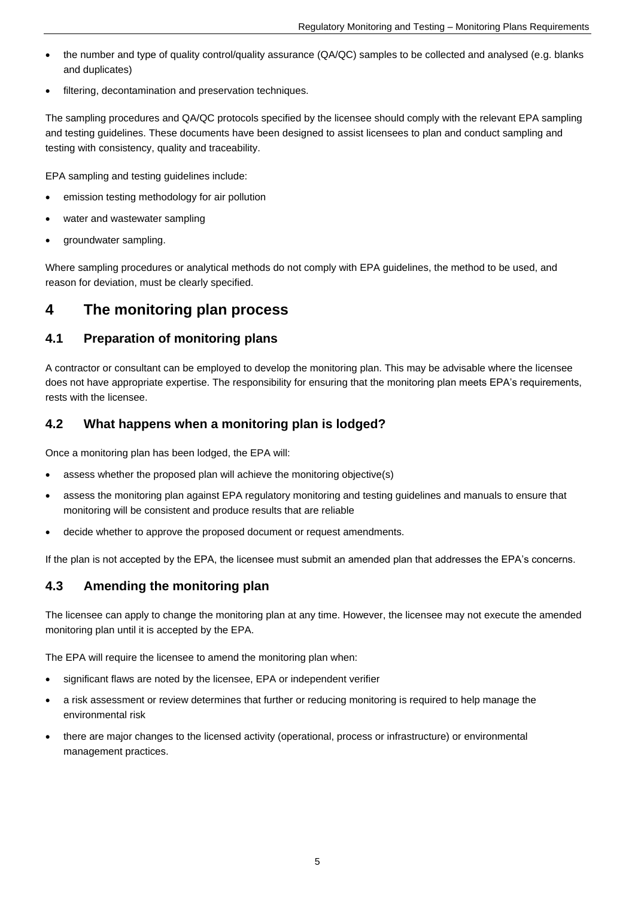- the number and type of quality control/quality assurance (QA/QC) samples to be collected and analysed (e.g. blanks and duplicates)
- filtering, decontamination and preservation techniques.

The sampling procedures and QA/QC protocols specified by the licensee should comply with the relevant EPA sampling and testing guidelines. These documents have been designed to assist licensees to plan and conduct sampling and testing with consistency, quality and traceability.

EPA sampling and testing guidelines include:

- emission testing methodology for air pollution
- water and wastewater sampling
- groundwater sampling.

Where sampling procedures or analytical methods do not comply with EPA guidelines, the method to be used, and reason for deviation, must be clearly specified.

## **4 The monitoring plan process**

#### **4.1 Preparation of monitoring plans**

A contractor or consultant can be employed to develop the monitoring plan. This may be advisable where the licensee does not have appropriate expertise. The responsibility for ensuring that the monitoring plan meets EPA's requirements, rests with the licensee.

#### **4.2 What happens when a monitoring plan is lodged?**

Once a monitoring plan has been lodged, the EPA will:

- assess whether the proposed plan will achieve the monitoring objective(s)
- assess the monitoring plan against EPA regulatory monitoring and testing guidelines and manuals to ensure that monitoring will be consistent and produce results that are reliable
- decide whether to approve the proposed document or request amendments.

If the plan is not accepted by the EPA, the licensee must submit an amended plan that addresses the EPA's concerns.

#### **4.3 Amending the monitoring plan**

The licensee can apply to change the monitoring plan at any time. However, the licensee may not execute the amended monitoring plan until it is accepted by the EPA.

The EPA will require the licensee to amend the monitoring plan when:

- significant flaws are noted by the licensee, EPA or independent verifier
- a risk assessment or review determines that further or reducing monitoring is required to help manage the environmental risk
- there are major changes to the licensed activity (operational, process or infrastructure) or environmental management practices.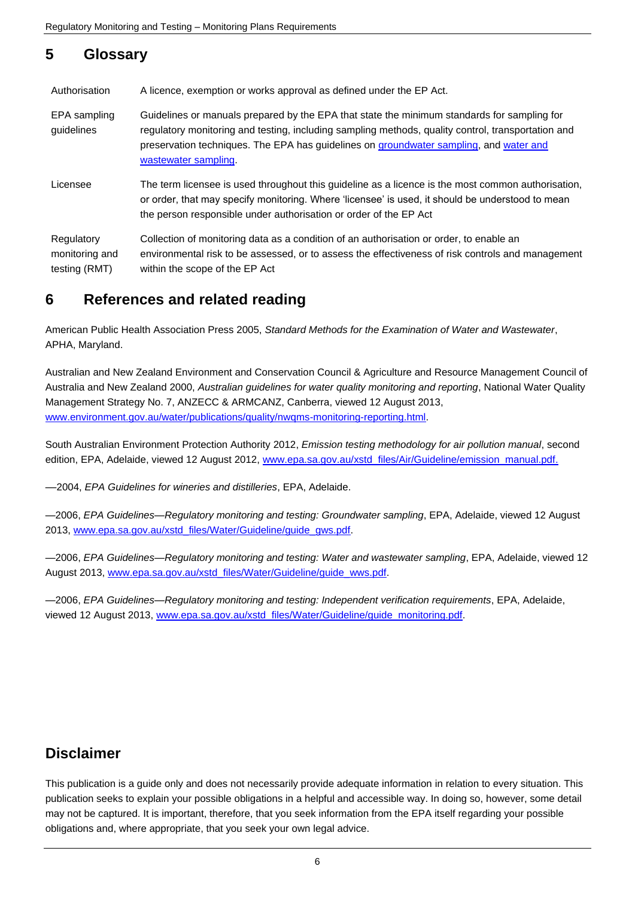## **5 Glossary**

| Authorisation                                 | A licence, exemption or works approval as defined under the EP Act.                                                                                                                                                                                                                                                 |
|-----------------------------------------------|---------------------------------------------------------------------------------------------------------------------------------------------------------------------------------------------------------------------------------------------------------------------------------------------------------------------|
| EPA sampling<br>guidelines                    | Guidelines or manuals prepared by the EPA that state the minimum standards for sampling for<br>regulatory monitoring and testing, including sampling methods, quality control, transportation and<br>preservation techniques. The EPA has guidelines on groundwater sampling, and water and<br>wastewater sampling. |
| Licensee                                      | The term licensee is used throughout this guideline as a licence is the most common authorisation,<br>or order, that may specify monitoring. Where 'licensee' is used, it should be understood to mean<br>the person responsible under authorisation or order of the EP Act                                         |
| Regulatory<br>monitoring and<br>testing (RMT) | Collection of monitoring data as a condition of an authorisation or order, to enable an<br>environmental risk to be assessed, or to assess the effectiveness of risk controls and management<br>within the scope of the EP Act                                                                                      |

## <span id="page-5-0"></span>**6 References and related reading**

American Public Health Association Press 2005, *Standard Methods for the Examination of Water and Wastewater*, APHA, Maryland.

Australian and New Zealand Environment and Conservation Council & Agriculture and Resource Management Council of Australia and New Zealand 2000, *Australian guidelines for water quality monitoring and reporting*, National Water Quality Management Strategy No. 7, ANZECC & ARMCANZ, Canberra, viewed 12 August 2013, [www.environment.gov.au/water/publications/quality/nwqms-monitoring-reporting.html.](http://www.environment.gov.au/water/publications/quality/nwqms-monitoring-reporting.html)

South Australian Environment Protection Authority 2012, *Emission testing methodology for air pollution manual*, second edition, EPA, Adelaide, viewed 12 August 2012, [www.epa.sa.gov.au/xstd\\_files/Air/Guideline/emission\\_manual.pdf.](http://www.epa.sa.gov.au/xstd_files/Air/Guideline/emission_manual.pdf)

––2004, *EPA Guidelines for wineries and distilleries*, EPA, Adelaide.

—2006, *EPA Guidelines—Regulatory monitoring and testing: Groundwater sampling*, EPA, Adelaide, viewed 12 August 2013, [www.epa.sa.gov.au/xstd\\_files/Water/Guideline/guide\\_gws.pdf.](http://www.epa.sa.gov.au/xstd_files/Water/Guideline/guide_gws.pdf)

—2006, *EPA Guidelines—Regulatory monitoring and testing: Water and wastewater sampling*, EPA, Adelaide, viewed 12 August 2013, [www.epa.sa.gov.au/xstd\\_files/Water/Guideline/guide\\_wws.pdf.](http://www.epa.sa.gov.au/xstd_files/Water/Guideline/guide_wws.pdf)

—2006, *EPA Guidelines—Regulatory monitoring and testing: Independent verification requirements*, EPA, Adelaide, viewed 12 August 2013, [www.epa.sa.gov.au/xstd\\_files/Water/Guideline/guide\\_monitoring.pdf.](http://www.epa.sa.gov.au/xstd_files/Water/Guideline/guide_monitoring.pdf)

## **Disclaimer**

This publication is a guide only and does not necessarily provide adequate information in relation to every situation. This publication seeks to explain your possible obligations in a helpful and accessible way. In doing so, however, some detail may not be captured. It is important, therefore, that you seek information from the EPA itself regarding your possible obligations and, where appropriate, that you seek your own legal advice.